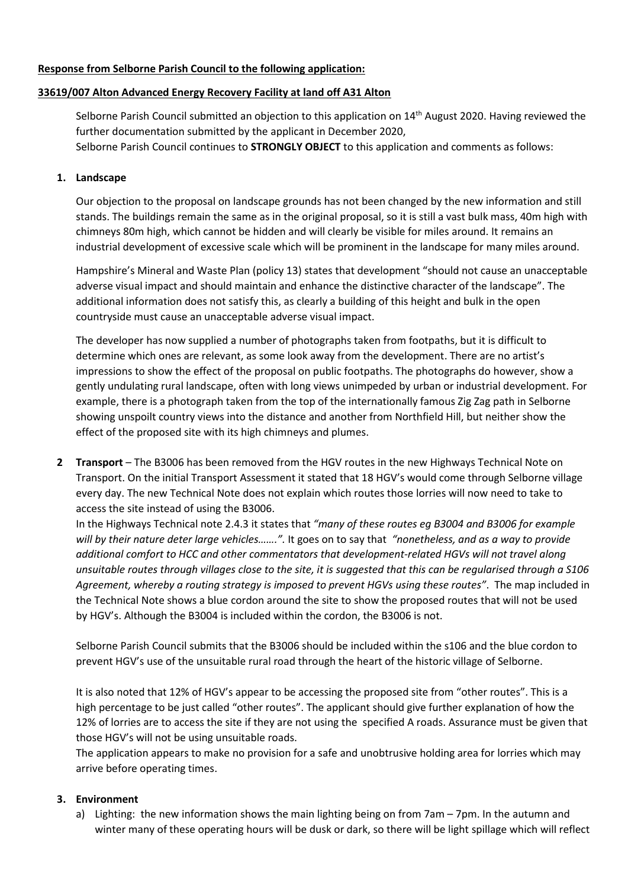## **Response from Selborne Parish Council to the following application:**

#### **33619/007 Alton Advanced Energy Recovery Facility at land off A31 Alton**

Selborne Parish Council submitted an objection to this application on 14<sup>th</sup> August 2020. Having reviewed the further documentation submitted by the applicant in December 2020, Selborne Parish Council continues to **STRONGLY OBJECT** to this application and comments as follows:

### **1. Landscape**

Our objection to the proposal on landscape grounds has not been changed by the new information and still stands. The buildings remain the same as in the original proposal, so it is still a vast bulk mass, 40m high with chimneys 80m high, which cannot be hidden and will clearly be visible for miles around. It remains an industrial development of excessive scale which will be prominent in the landscape for many miles around.

Hampshire's Mineral and Waste Plan (policy 13) states that development "should not cause an unacceptable adverse visual impact and should maintain and enhance the distinctive character of the landscape". The additional information does not satisfy this, as clearly a building of this height and bulk in the open countryside must cause an unacceptable adverse visual impact.

The developer has now supplied a number of photographs taken from footpaths, but it is difficult to determine which ones are relevant, as some look away from the development. There are no artist's impressions to show the effect of the proposal on public footpaths. The photographs do however, show a gently undulating rural landscape, often with long views unimpeded by urban or industrial development. For example, there is a photograph taken from the top of the internationally famous Zig Zag path in Selborne showing unspoilt country views into the distance and another from Northfield Hill, but neither show the effect of the proposed site with its high chimneys and plumes.

**2 Transport** – The B3006 has been removed from the HGV routes in the new Highways Technical Note on Transport. On the initial Transport Assessment it stated that 18 HGV's would come through Selborne village every day. The new Technical Note does not explain which routes those lorries will now need to take to access the site instead of using the B3006.

In the Highways Technical note 2.4.3 it states that *"many of these routes eg B3004 and B3006 for example will by their nature deter large vehicles…….".* It goes on to say that *"nonetheless, and as a way to provide additional comfort to HCC and other commentators that development-related HGVs will not travel along unsuitable routes through villages close to the site, it is suggested that this can be regularised through a S106 Agreement, whereby a routing strategy is imposed to prevent HGVs using these routes"*. The map included in the Technical Note shows a blue cordon around the site to show the proposed routes that will not be used by HGV's. Although the B3004 is included within the cordon, the B3006 is not.

Selborne Parish Council submits that the B3006 should be included within the s106 and the blue cordon to prevent HGV's use of the unsuitable rural road through the heart of the historic village of Selborne.

It is also noted that 12% of HGV's appear to be accessing the proposed site from "other routes". This is a high percentage to be just called "other routes". The applicant should give further explanation of how the 12% of lorries are to access the site if they are not using the specified A roads. Assurance must be given that those HGV's will not be using unsuitable roads.

The application appears to make no provision for a safe and unobtrusive holding area for lorries which may arrive before operating times.

# **3. Environment**

a) Lighting: the new information shows the main lighting being on from 7am – 7pm. In the autumn and winter many of these operating hours will be dusk or dark, so there will be light spillage which will reflect